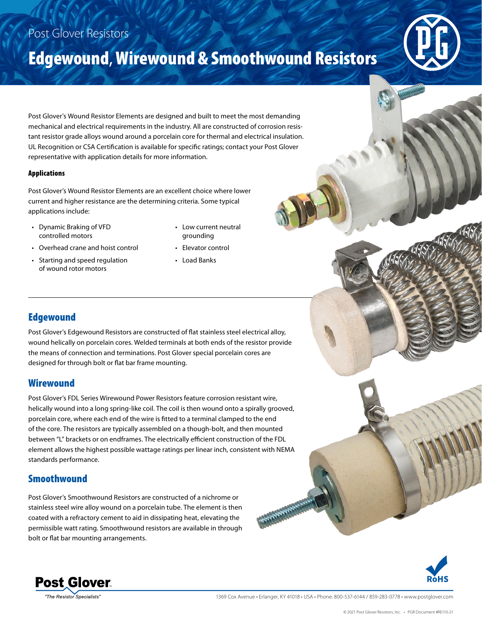## Post Glover Resistors

# Edgewound, Wirewound & Smoothwound Resistors



Post Glover's Wound Resistor Elements are designed and built to meet the most demanding mechanical and electrical requirements in the industry. All are constructed of corrosion resistant resistor grade alloys wound around a porcelain core for thermal and electrical insulation. UL Recognition or CSA Certification is available for specific ratings; contact your Post Glover representative with application details for more information.

#### Applications

Post Glover's Wound Resistor Elements are an excellent choice where lower current and higher resistance are the determining criteria. Some typical applications include:

- Dynamic Braking of VFD controlled motors
- Overhead crane and hoist control
- Starting and speed regulation of wound rotor motors
- Low current neutral grounding
- Elevator control
- Load Banks

### Edgewound

Post Glover's Edgewound Resistors are constructed of flat stainless steel electrical alloy, wound helically on porcelain cores. Welded terminals at both ends of the resistor provide the means of connection and terminations. Post Glover special porcelain cores are designed for through bolt or flat bar frame mounting.

#### **Wirewound**

Post Glover's FDL Series Wirewound Power Resistors feature corrosion resistant wire, helically wound into a long spring-like coil. The coil is then wound onto a spirally grooved, porcelain core, where each end of the wire is fitted to a terminal clamped to the end of the core. The resistors are typically assembled on a though-bolt, and then mounted between "L" brackets or on endframes. The electrically efficient construction of the FDL element allows the highest possible wattage ratings per linear inch, consistent with NEMA standards performance.

#### Smoothwound

Post Glover's Smoothwound Resistors are constructed of a nichrome or stainless steel wire alloy wound on a porcelain tube. The element is then coated with a refractory cement to aid in dissipating heat, elevating the permissible watt rating. Smoothwound resistors are available in through bolt or flat bar mounting arrangements.





**The Resistor Specialists** 

1369 Cox Avenue • Erlanger, KY 41018 • USA • Phone: 800-537-6144 / 859-283-0778 • www.postglover.com